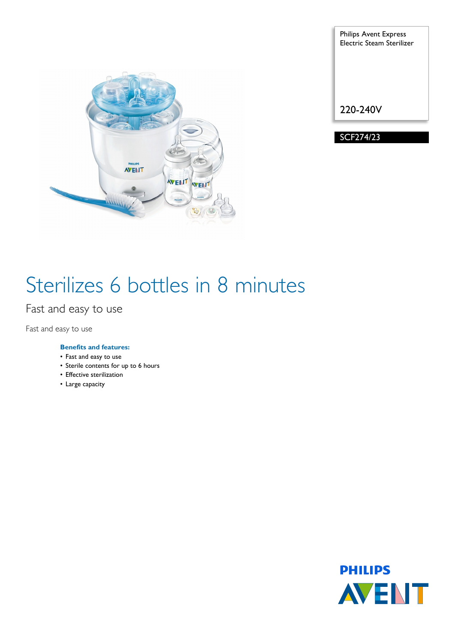

Philips Avent Express Electric Steam Sterilizer 220-240V

SCF274/23

# Sterilizes 6 bottles in 8 minutes

Fast and easy to use

Fast and easy to use

# **Benefits and features:**

- Fast and easy to use
- Sterile contents for up to 6 hours
- Effective sterilization
- Large capacity